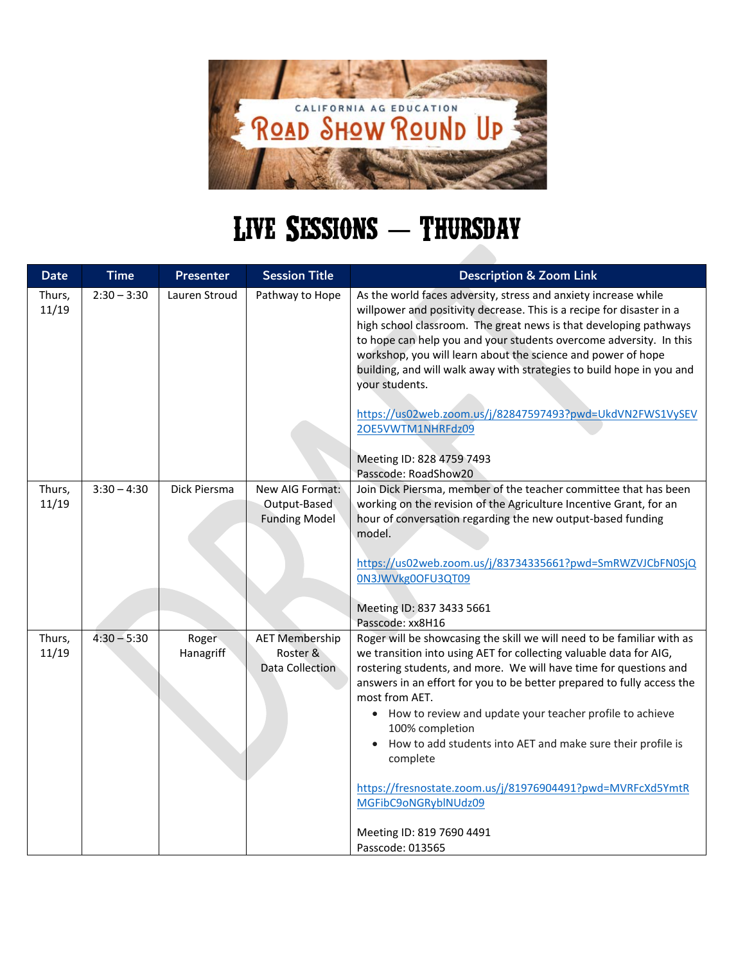

## LIVE SESSIONS - THURSDAY

| <b>Date</b>     | <b>Time</b>   | <b>Presenter</b>   | <b>Session Title</b>                                    | <b>Description &amp; Zoom Link</b>                                                                                                                                                                                                                                                                                                                                                                                                                                                                                                                                                                               |
|-----------------|---------------|--------------------|---------------------------------------------------------|------------------------------------------------------------------------------------------------------------------------------------------------------------------------------------------------------------------------------------------------------------------------------------------------------------------------------------------------------------------------------------------------------------------------------------------------------------------------------------------------------------------------------------------------------------------------------------------------------------------|
| Thurs,<br>11/19 | $2:30 - 3:30$ | Lauren Stroud      | Pathway to Hope                                         | As the world faces adversity, stress and anxiety increase while<br>willpower and positivity decrease. This is a recipe for disaster in a<br>high school classroom. The great news is that developing pathways<br>to hope can help you and your students overcome adversity. In this<br>workshop, you will learn about the science and power of hope<br>building, and will walk away with strategies to build hope in you and<br>your students.<br>https://us02web.zoom.us/j/82847597493?pwd=UkdVN2FWS1VySEV<br>2OE5VWTM1NHRFdz09<br>Meeting ID: 828 4759 7493<br>Passcode: RoadShow20                            |
| Thurs,<br>11/19 | $3:30 - 4:30$ | Dick Piersma       | New AIG Format:<br>Output-Based<br><b>Funding Model</b> | Join Dick Piersma, member of the teacher committee that has been<br>working on the revision of the Agriculture Incentive Grant, for an<br>hour of conversation regarding the new output-based funding<br>model.<br>https://us02web.zoom.us/j/83734335661?pwd=SmRWZVJCbFN0SjQ<br>0N3JWVkg0OFU3QT09<br>Meeting ID: 837 3433 5661<br>Passcode: xx8H16                                                                                                                                                                                                                                                               |
| Thurs,<br>11/19 | $4:30 - 5:30$ | Roger<br>Hanagriff | <b>AET Membership</b><br>Roster &<br>Data Collection    | Roger will be showcasing the skill we will need to be familiar with as<br>we transition into using AET for collecting valuable data for AIG,<br>rostering students, and more. We will have time for questions and<br>answers in an effort for you to be better prepared to fully access the<br>most from AET.<br>• How to review and update your teacher profile to achieve<br>100% completion<br>How to add students into AET and make sure their profile is<br>complete<br>https://fresnostate.zoom.us/j/81976904491?pwd=MVRFcXd5YmtR<br>MGFibC9oNGRyblNUdz09<br>Meeting ID: 819 7690 4491<br>Passcode: 013565 |